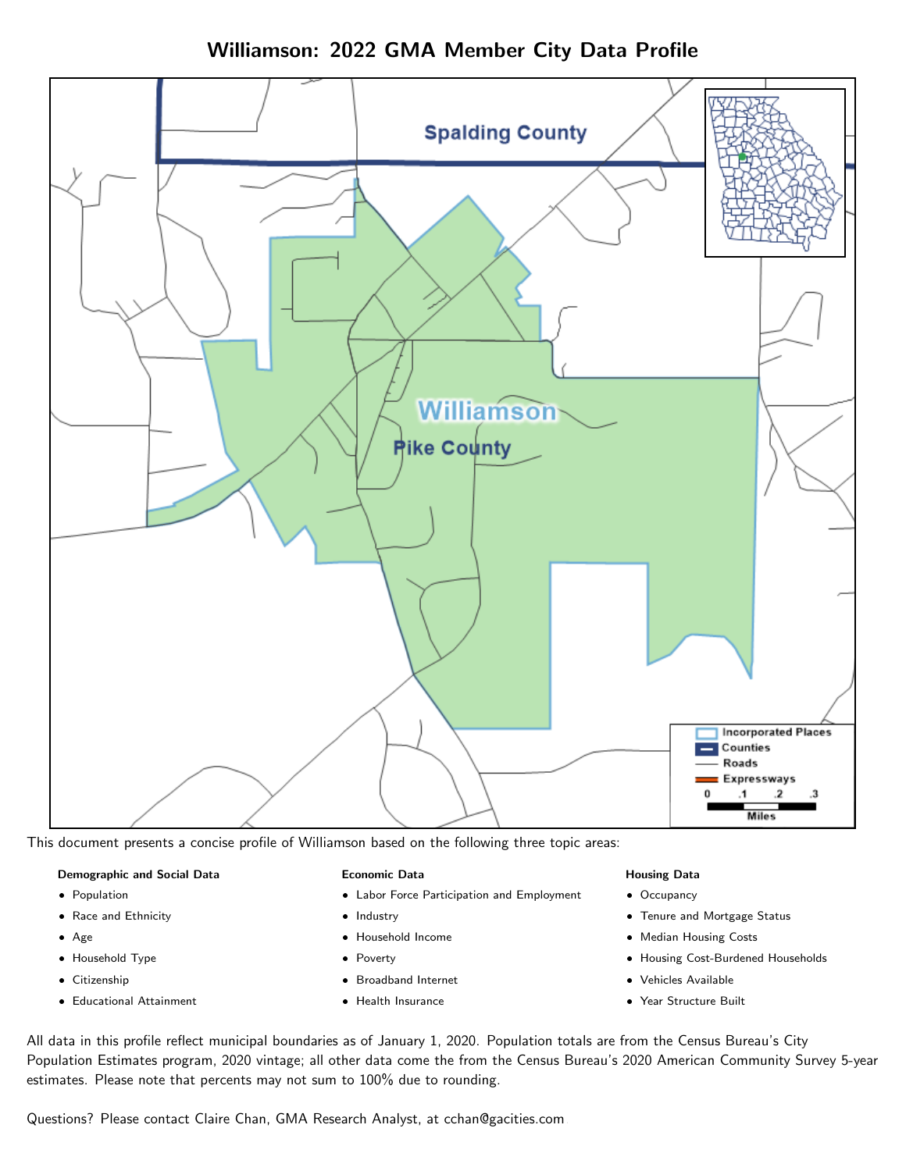Williamson: 2022 GMA Member City Data Profile



This document presents a concise profile of Williamson based on the following three topic areas:

#### Demographic and Social Data

- **•** Population
- Race and Ethnicity
- Age
- Household Type
- **Citizenship**
- Educational Attainment

#### Economic Data

- Labor Force Participation and Employment
- Industry
- Household Income
- Poverty
- Broadband Internet
- Health Insurance

#### Housing Data

- Occupancy
- Tenure and Mortgage Status
- Median Housing Costs
- Housing Cost-Burdened Households
- Vehicles Available
- Year Structure Built

All data in this profile reflect municipal boundaries as of January 1, 2020. Population totals are from the Census Bureau's City Population Estimates program, 2020 vintage; all other data come the from the Census Bureau's 2020 American Community Survey 5-year estimates. Please note that percents may not sum to 100% due to rounding.

Questions? Please contact Claire Chan, GMA Research Analyst, at [cchan@gacities.com.](mailto:cchan@gacities.com)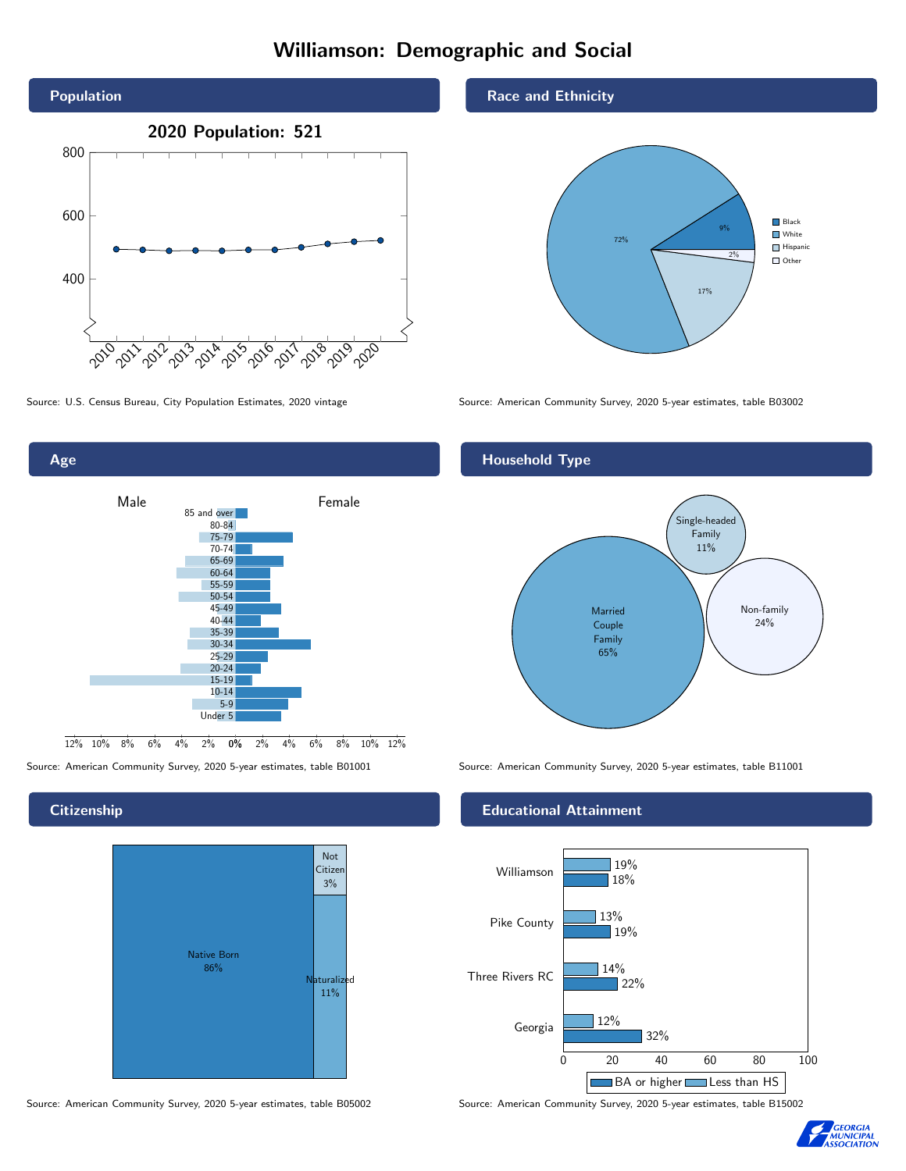# Williamson: Demographic and Social



Age



**Citizenship** 



Source: American Community Survey, 2020 5-year estimates, table B05002 Source: American Community Survey, 2020 5-year estimates, table B15002

### Race and Ethnicity



Source: U.S. Census Bureau, City Population Estimates, 2020 vintage Source: American Community Survey, 2020 5-year estimates, table B03002

# Household Type



Source: American Community Survey, 2020 5-year estimates, table B01001 Source: American Community Survey, 2020 5-year estimates, table B11001

#### Educational Attainment



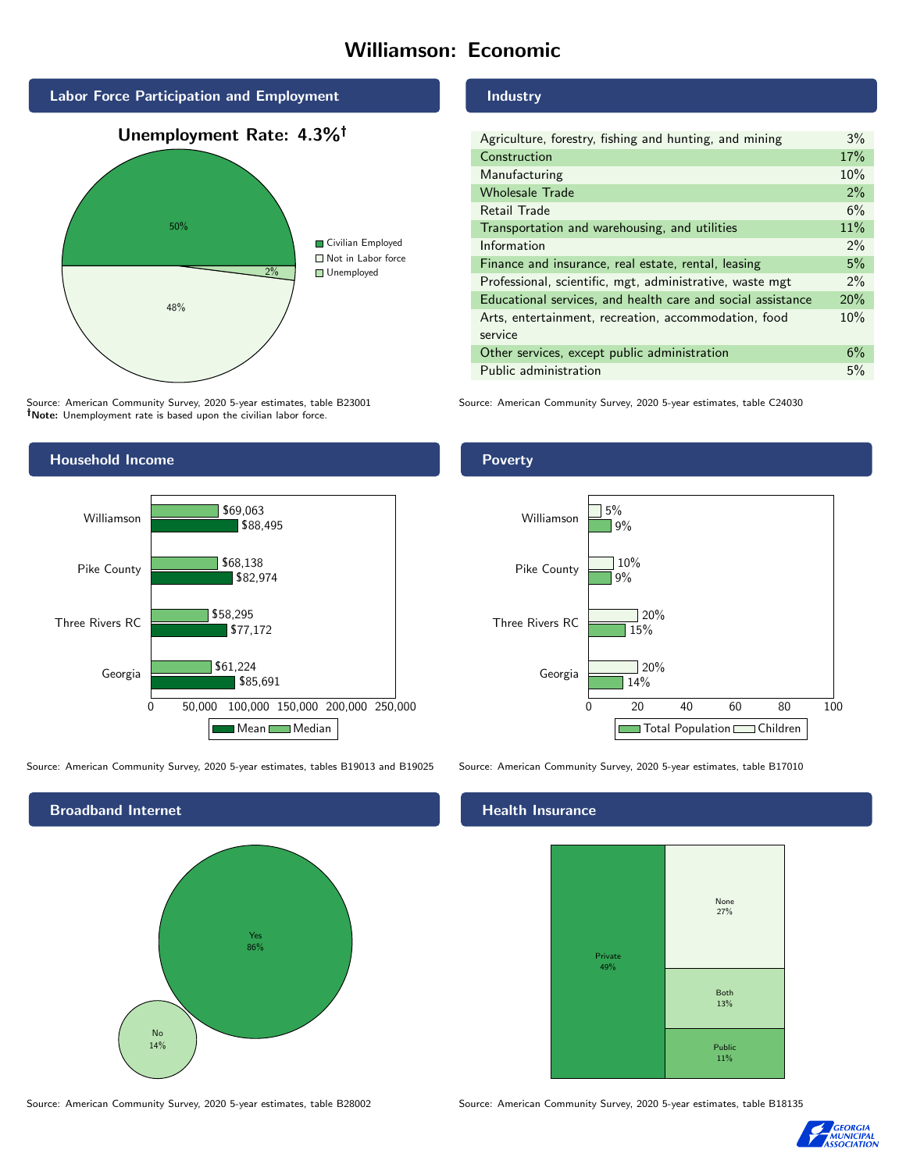# Williamson: Economic



Source: American Community Survey, 2020 5-year estimates, table B23001 Note: Unemployment rate is based upon the civilian labor force.

# Household Income



Source: American Community Survey, 2020 5-year estimates, tables B19013 and B19025 Source: American Community Survey, 2020 5-year estimates, table B17010



Source: American Community Survey, 2020 5-year estimates, table B28002 Source: American Community Survey, 2020 5-year estimates, table B18135

#### Industry

| Agriculture, forestry, fishing and hunting, and mining      | 3%    |
|-------------------------------------------------------------|-------|
| Construction                                                | 17%   |
| Manufacturing                                               | 10%   |
| <b>Wholesale Trade</b>                                      | 2%    |
| Retail Trade                                                | 6%    |
| Transportation and warehousing, and utilities               | 11%   |
| Information                                                 | $2\%$ |
| Finance and insurance, real estate, rental, leasing         | 5%    |
| Professional, scientific, mgt, administrative, waste mgt    | $2\%$ |
| Educational services, and health care and social assistance | 20%   |
| Arts, entertainment, recreation, accommodation, food        | 10%   |
| service                                                     |       |
| Other services, except public administration                | 6%    |
| Public administration                                       | 5%    |

Source: American Community Survey, 2020 5-year estimates, table C24030

## Poverty



# **Health Insurance**